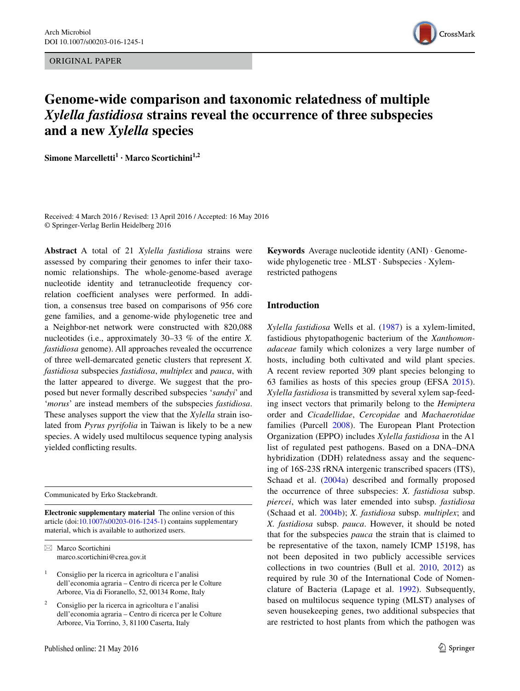ORIGINAL PAPER



# **Genome‑wide comparison and taxonomic relatedness of multiple**  *Xylella fastidiosa* **strains reveal the occurrence of three subspecies and a new** *Xylella* **species**

**Simone Marcelletti<sup>1</sup> · Marco Scortichini<sup>1,2</sup>** 

Received: 4 March 2016 / Revised: 13 April 2016 / Accepted: 16 May 2016 © Springer-Verlag Berlin Heidelberg 2016

**Abstract** A total of 21 *Xylella fastidiosa* strains were assessed by comparing their genomes to infer their taxonomic relationships. The whole-genome-based average nucleotide identity and tetranucleotide frequency correlation coefficient analyses were performed. In addition, a consensus tree based on comparisons of 956 core gene families, and a genome-wide phylogenetic tree and a Neighbor-net network were constructed with 820,088 nucleotides (i.e., approximately 30–33 % of the entire *X. fastidiosa* genome). All approaches revealed the occurrence of three well-demarcated genetic clusters that represent *X. fastidiosa* subspecies *fastidiosa*, *multiplex* and *pauca*, with the latter appeared to diverge. We suggest that the proposed but never formally described subspecies '*sandyi*' and '*morus*' are instead members of the subspecies *fastidiosa*. These analyses support the view that the *Xylella* strain isolated from *Pyrus pyrifolia* in Taiwan is likely to be a new species. A widely used multilocus sequence typing analysis yielded conflicting results.

Communicated by Erko Stackebrandt.

**Electronic supplementary material** The online version of this article (doi[:10.1007/s00203-016-1245-1](http://dx.doi.org/10.1007/s00203-016-1245-1)) contains supplementary material, which is available to authorized users.

 $\boxtimes$  Marco Scortichini marco.scortichini@crea.gov.it

 $1$  Consiglio per la ricerca in agricoltura e l'analisi dell'economia agraria – Centro di ricerca per le Colture Arboree, Via di Fioranello, 52, 00134 Rome, Italy

<sup>2</sup> Consiglio per la ricerca in agricoltura e l'analisi dell'economia agraria – Centro di ricerca per le Colture Arboree, Via Torrino, 3, 81100 Caserta, Italy

**Keywords** Average nucleotide identity (ANI) · Genomewide phylogenetic tree · MLST · Subspecies · Xylemrestricted pathogens

# **Introduction**

*Xylella fastidiosa* Wells et al. [\(1987\)](#page-9-0) is a xylem-limited, fastidious phytopathogenic bacterium of the *Xanthomonadaceae* family which colonizes a very large number of hosts, including both cultivated and wild plant species. A recent review reported 309 plant species belonging to 63 families as hosts of this species group (EFSA [2015](#page-8-0)). *Xylella fastidiosa* is transmitted by several xylem sap-feeding insect vectors that primarily belong to the *Hemiptera* order and *Cicadellidae*, *Cercopidae* and *Machaerotidae* families (Purcell [2008](#page-8-1)). The European Plant Protection Organization (EPPO) includes *Xylella fastidiosa* in the A1 list of regulated pest pathogens. Based on a DNA–DNA hybridization (DDH) relatedness assay and the sequencing of 16S-23S rRNA intergenic transcribed spacers (ITS), Schaad et al. ([2004a\)](#page-8-2) described and formally proposed the occurrence of three subspecies: *X. fastidiosa* subsp. *piercei*, which was later emended into subsp. *fastidiosa* (Schaad et al. [2004b\)](#page-9-1); *X. fastidiosa* subsp. *multiplex*; and *X. fastidiosa* subsp. *pauca*. However, it should be noted that for the subspecies *pauca* the strain that is claimed to be representative of the taxon, namely ICMP 15198, has not been deposited in two publicly accessible services collections in two countries (Bull et al. [2010,](#page-7-0) [2012\)](#page-7-1) as required by rule 30 of the International Code of Nomenclature of Bacteria (Lapage et al. [1992\)](#page-8-3). Subsequently, based on multilocus sequence typing (MLST) analyses of seven housekeeping genes, two additional subspecies that are restricted to host plants from which the pathogen was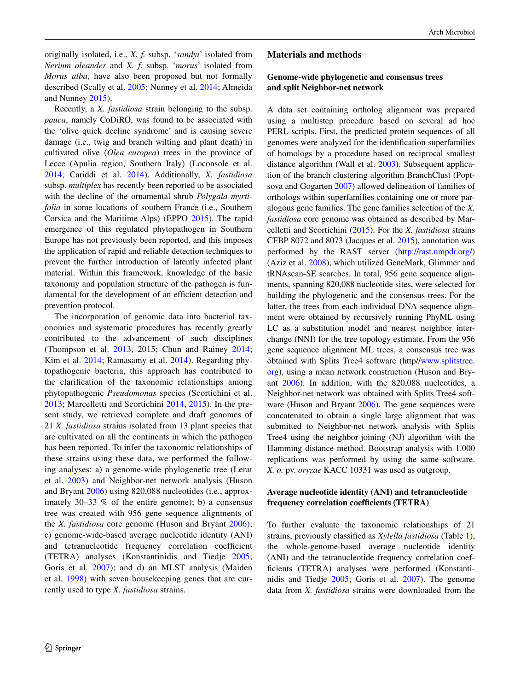originally isolated, i.e., *X. f.* subsp. '*sandyi*' isolated from *Nerium oleander* and *X. f*. subsp. '*morus*' isolated from *Morus alba*, have also been proposed but not formally described (Scally et al. [2005;](#page-8-4) Nunney et al. [2014](#page-8-5); Almeida and Nunney [2015\)](#page-7-2).

Recently, a *X. fastidiosa* strain belonging to the subsp. *pauca*, namely CoDiRO, was found to be associated with the 'olive quick decline syndrome' and is causing severe damage (i.e., twig and branch wilting and plant death) in cultivated olive (*Olea europea*) trees in the province of Lecce (Apulia region, Southern Italy) (Loconsole et al. [2014](#page-8-6); Cariddi et al. [2014](#page-7-3)). Additionally, *X. fastidiosa* subsp. *multiplex* has recently been reported to be associated with the decline of the ornamental shrub *Polygala myrtifolia* in some locations of southern France (i.e., Southern Corsica and the Maritime Alps) (EPPO [2015](#page-8-7)). The rapid emergence of this regulated phytopathogen in Southern Europe has not previously been reported, and this imposes the application of rapid and reliable detection techniques to prevent the further introduction of latently infected plant material. Within this framework, knowledge of the basic taxonomy and population structure of the pathogen is fundamental for the development of an efficient detection and prevention protocol.

The incorporation of genomic data into bacterial taxonomies and systematic procedures has recently greatly contributed to the advancement of such disciplines (Thompson et al. [2013](#page-9-2), 2015; Chun and Rainey [2014](#page-8-8); Kim et al. [2014;](#page-8-9) Ramasamy et al. [2014\)](#page-8-10). Regarding phytopathogenic bacteria, this approach has contributed to the clarification of the taxonomic relationships among phytopathogenic *Pseudomonas* species (Scortichini et al. [2013](#page-9-3); Marcelletti and Scortichini [2014](#page-8-11), [2015\)](#page-8-12). In the present study, we retrieved complete and draft genomes of 21 *X. fastidiosa* strains isolated from 13 plant species that are cultivated on all the continents in which the pathogen has been reported. To infer the taxonomic relationships of these strains using these data, we performed the following analyses: a) a genome-wide phylogenetic tree (Lerat et al. [2003\)](#page-8-13) and Neighbor-net network analysis (Huson and Bryant [2006\)](#page-8-14) using 820,088 nucleotides (i.e., approximately 30–33 % of the entire genome); b) a consensus tree was created with 956 gene sequence alignments of the *X. fastidiosa* core genome (Huson and Bryant [2006\)](#page-8-14); c) genome-wide-based average nucleotide identity (ANI) and tetranucleotide frequency correlation coefficient (TETRA) analyses (Konstantinidis and Tiedje [2005](#page-8-15); Goris et al. [2007](#page-8-16)); and d) an MLST analysis (Maiden et al. [1998](#page-8-17)) with seven housekeeping genes that are currently used to type *X. fastidiosa* strains.

#### **Materials and methods**

## **Genome‑wide phylogenetic and consensus trees and split Neighbor‑net network**

A data set containing ortholog alignment was prepared using a multistep procedure based on several ad hoc PERL scripts. First, the predicted protein sequences of all genomes were analyzed for the identification superfamilies of homologs by a procedure based on reciprocal smallest distance algorithm (Wall et al. [2003](#page-9-4)). Subsequent application of the branch clustering algorithm BranchClust (Poptsova and Gogarten [2007](#page-8-18)) allowed delineation of families of orthologs within superfamilies containing one or more paralogous gene families. The gene families selection of the *X. fastidiosa* core genome was obtained as described by Marcelletti and Scortichini ([2015\)](#page-8-12). For the *X. fastidiosa* strains CFBP 8072 and 8073 (Jacques et al. [2015](#page-8-19)), annotation was performed by the RAST server [\(http://rast.nmpdr.org/\)](http://rast.nmpdr.org/) (Aziz et al. [2008\)](#page-7-4), which utilized GeneMark, Glimmer and tRNAscan-SE searches. In total, 956 gene sequence alignments, spanning 820,088 nucleotide sites, were selected for building the phylogenetic and the consensus trees. For the latter, the trees from each individual DNA sequence alignment were obtained by recursively running PhyML using LC as a substitution model and nearest neighbor interchange (NNI) for the tree topology estimate. From the 956 gene sequence alignment ML trees, a consensus tree was obtained with Splits Tree4 software (http/[/www.splitstree.](http://www.splitstree.org) [org](http://www.splitstree.org)), using a mean network construction (Huson and Bryant [2006\)](#page-8-14). In addition, with the 820,088 nucleotides, a Neighbor-net network was obtained with Splits Tree4 software (Huson and Bryant [2006](#page-8-14)). The gene sequences were concatenated to obtain a single large alignment that was submitted to Neighbor-net network analysis with Splits Tree4 using the neighbor-joining (NJ) algorithm with the Hamming distance method. Bootstrap analysis with 1.000 replications was performed by using the same software. *X. o.* pv. *oryzae* KACC 10331 was used as outgroup.

## **Average nucleotide identity (ANI) and tetranucleotide frequency correlation coefficients (TETRA)**

To further evaluate the taxonomic relationships of 21 strains, previously classified as *Xylella fastidiosa* (Table [1](#page-2-0)), the whole-genome-based average nucleotide identity (ANI) and the tetranucleotide frequency correlation coefficients (TETRA) analyses were performed (Konstantinidis and Tiedje [2005;](#page-8-15) Goris et al. [2007\)](#page-8-16). The genome data from *X. fastidiosa* strains were downloaded from the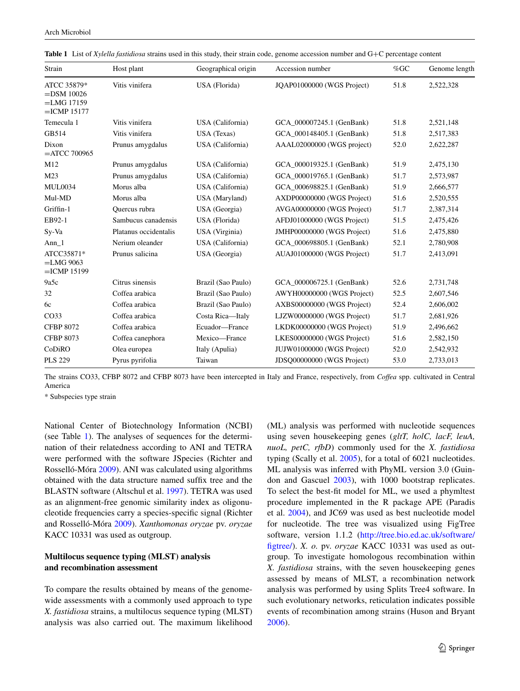| Strain                                                         | Host plant            | Geographical origin<br>Accession number |                            | $%$ GC | Genome length |
|----------------------------------------------------------------|-----------------------|-----------------------------------------|----------------------------|--------|---------------|
| ATCC 35879*<br>$=$ DSM 10026<br>$=LMG$ 17159<br>$=$ ICMP 15177 | Vitis vinifera        | USA (Florida)                           | JQAP01000000 (WGS Project) | 51.8   | 2,522,328     |
| Temecula 1                                                     | Vitis vinifera        | USA (California)                        | GCA 000007245.1 (GenBank)  | 51.8   | 2,521,148     |
| GB514                                                          | Vitis vinifera        | USA (Texas)                             | GCA 000148405.1 (GenBank)  | 51.8   | 2,517,383     |
| Dixon<br>$=$ ATCC 700965                                       | Prunus amygdalus      | USA (California)                        | AAAL02000000 (WGS project) | 52.0   | 2,622,287     |
| M12                                                            | Prunus amygdalus      | USA (California)                        | GCA 000019325.1 (GenBank)  | 51.9   | 2,475,130     |
| M23                                                            | Prunus amygdalus      | USA (California)                        | GCA_000019765.1 (GenBank)  | 51.7   | 2,573,987     |
| <b>MUL0034</b>                                                 | Morus alba            | USA (California)                        | GCA 000698825.1 (GenBank)  | 51.9   | 2,666,577     |
| Mul-MD                                                         | Morus alba            | USA (Maryland)                          | AXDP00000000 (WGS Project) | 51.6   | 2,520,555     |
| Griffin-1                                                      | Ouercus rubra         | USA (Georgia)                           | AVGA00000000 (WGS Project) | 51.7   | 2,387,314     |
| EB92-1                                                         | Sambucus canadensis   | USA (Florida)                           | AFDJ01000000 (WGS Project) | 51.5   | 2,475,426     |
| Sy-Va                                                          | Platanus occidentalis | USA (Virginia)                          | JMHP00000000 (WGS Project) | 51.6   | 2,475,880     |
| Ann $1$                                                        | Nerium oleander       | USA (California)                        | GCA 000698805.1 (GenBank)  | 52.1   | 2,780,908     |
| ATCC35871*<br>$=LMG$ 9063<br>$=$ ICMP 15199                    | Prunus salicina       | USA (Georgia)                           | AUAJ01000000 (WGS Project) | 51.7   | 2,413,091     |
| 9a5c                                                           | Citrus sinensis       | Brazil (Sao Paulo)                      | GCA 000006725.1 (GenBank)  | 52.6   | 2,731,748     |
| 32                                                             | Coffea arabica        | Brazil (Sao Paulo)                      | AWYH00000000 (WGS Project) | 52.5   | 2,607,546     |
| 6c                                                             | Coffea arabica        | Brazil (Sao Paulo)                      | AXBS00000000 (WGS Project) | 52.4   | 2,606,002     |
| CO <sub>33</sub>                                               | Coffea arabica        | Costa Rica-Italy                        | LJZW00000000 (WGS Project) | 51.7   | 2,681,926     |
| <b>CFBP 8072</b>                                               | Coffea arabica        | Ecuador-France                          | LKDK00000000 (WGS Project) | 51.9   | 2,496,662     |
| <b>CFBP 8073</b>                                               | Coffea canephora      | Mexico-France                           | LKES00000000 (WGS Project) | 51.6   | 2,582,150     |
| CoDiRO                                                         | Olea europea          | Italy (Apulia)                          | JUJW01000000 (WGS Project) | 52.0   | 2,542,932     |
| <b>PLS 229</b>                                                 | Pyrus pyrifolia       | Taiwan                                  | JDSQ00000000 (WGS Project) | 53.0   | 2,733,013     |

<span id="page-2-0"></span>

|  | Table 1 List of Xylella fastidiosa strains used in this study, their strain code, genome accession number and $G+C$ percentage content |  |
|--|----------------------------------------------------------------------------------------------------------------------------------------|--|
|  |                                                                                                                                        |  |

The strains CO33, CFBP 8072 and CFBP 8073 have been intercepted in Italy and France, respectively, from *Coffea* spp. cultivated in Central America

\* Subspecies type strain

National Center of Biotechnology Information (NCBI) (see Table [1](#page-2-0)). The analyses of sequences for the determination of their relatedness according to ANI and TETRA were performed with the software JSpecies (Richter and Rosselló-Móra [2009\)](#page-8-20). ANI was calculated using algorithms obtained with the data structure named suffix tree and the BLASTN software (Altschul et al. [1997](#page-7-5)). TETRA was used as an alignment-free genomic similarity index as oligonucleotide frequencies carry a species-specific signal (Richter and Rosselló-Móra [2009\)](#page-8-20). *Xanthomonas oryzae* pv. *oryzae* KACC 10331 was used as outgroup.

## **Multilocus sequence typing (MLST) analysis and recombination assessment**

To compare the results obtained by means of the genomewide assessments with a commonly used approach to type *X. fastidiosa* strains, a multilocus sequence typing (MLST) analysis was also carried out. The maximum likelihood (ML) analysis was performed with nucleotide sequences using seven housekeeping genes (*gltT, holC, lacF, leuA, nuoL, petC, rfbD*) commonly used for the *X. fastidiosa* typing (Scally et al. [2005\)](#page-8-4), for a total of 6021 nucleotides. ML analysis was inferred with PhyML version 3.0 (Guindon and Gascuel [2003\)](#page-8-21), with 1000 bootstrap replicates. To select the best-fit model for ML, we used a phymltest procedure implemented in the R package APE (Paradis et al. [2004](#page-8-22)), and JC69 was used as best nucleotide model for nucleotide. The tree was visualized using FigTree software, version 1.1.2 ([http://tree.bio.ed.ac.uk/software/](http://tree.bio.ed.ac.uk/software/figtree/) [figtree/\)](http://tree.bio.ed.ac.uk/software/figtree/). *X. o.* pv. *oryzae* KACC 10331 was used as outgroup. To investigate homologous recombination within *X. fastidiosa* strains, with the seven housekeeping genes assessed by means of MLST, a recombination network analysis was performed by using Splits Tree4 software. In such evolutionary networks, reticulation indicates possible events of recombination among strains (Huson and Bryant [2006](#page-8-14)).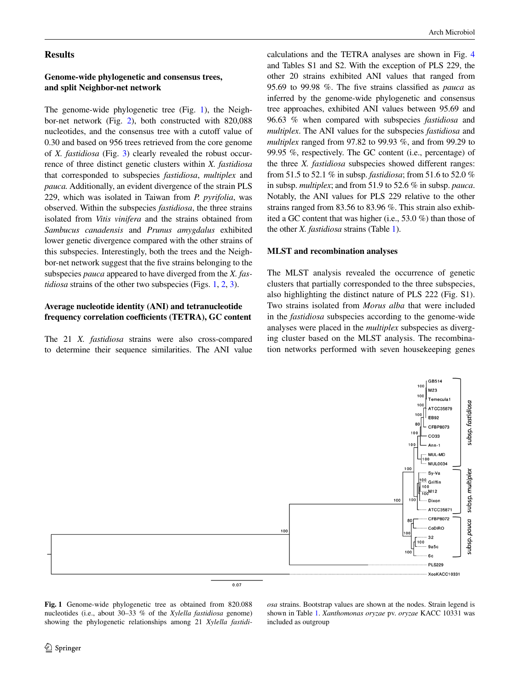### **Results**

# **Genome‑wide phylogenetic and consensus trees, and split Neighbor‑net network**

The genome-wide phylogenetic tree (Fig. [1](#page-3-0)), the Neighbor-net network (Fig. [2\)](#page-4-0), both constructed with 820,088 nucleotides, and the consensus tree with a cutoff value of 0.30 and based on 956 trees retrieved from the core genome of *X. fastidiosa* (Fig. [3](#page-5-0)) clearly revealed the robust occurrence of three distinct genetic clusters within *X. fastidiosa* that corresponded to subspecies *fastidiosa*, *multiplex* and *pauca.* Additionally, an evident divergence of the strain PLS 229, which was isolated in Taiwan from *P. pyrifolia*, was observed. Within the subspecies *fastidiosa*, the three strains isolated from *Vitis vinifera* and the strains obtained from *Sambucus canadensis* and *Prunus amygdalus* exhibited lower genetic divergence compared with the other strains of this subspecies. Interestingly, both the trees and the Neighbor-net network suggest that the five strains belonging to the subspecies *pauca* appeared to have diverged from the *X. fastidiosa* strains of the other two subspecies (Figs. [1,](#page-3-0) [2](#page-4-0), [3](#page-5-0)).

# **Average nucleotide identity (ANI) and tetranucleotide frequency correlation coefficients (TETRA), GC content**

The 21 *X. fastidiosa* strains were also cross-compared to determine their sequence similarities. The ANI value calculations and the TETRA analyses are shown in Fig. [4](#page-5-1) and Tables S1 and S2. With the exception of PLS 229, the other 20 strains exhibited ANI values that ranged from 95.69 to 99.98 %. The five strains classified as *pauca* as inferred by the genome-wide phylogenetic and consensus tree approaches, exhibited ANI values between 95.69 and 96.63 % when compared with subspecies *fastidiosa* and *multiplex*. The ANI values for the subspecies *fastidiosa* and *multiplex* ranged from 97.82 to 99.93 %, and from 99.29 to 99.95 %, respectively. The GC content (i.e., percentage) of the three *X. fastidiosa* subspecies showed different ranges: from 51.5 to 52.1 % in subsp. *fastidiosa*; from 51.6 to 52.0 % in subsp. *multiplex*; and from 51.9 to 52.6 % in subsp. *pauca*. Notably, the ANI values for PLS 229 relative to the other strains ranged from 83.56 to 83.96 %. This strain also exhibited a GC content that was higher (i.e., 53.0 %) than those of the other *X. fastidiosa* strains (Table [1\)](#page-2-0).

#### **MLST and recombination analyses**

The MLST analysis revealed the occurrence of genetic clusters that partially corresponded to the three subspecies, also highlighting the distinct nature of PLS 222 (Fig. S1). Two strains isolated from *Morus alba* that were included in the *fastidiosa* subspecies according to the genome-wide analyses were placed in the *multiplex* subspecies as diverging cluster based on the MLST analysis. The recombination networks performed with seven housekeeping genes



<span id="page-3-0"></span>**Fig. 1** Genome-wide phylogenetic tree as obtained from 820.088 nucleotides (i.e., about 30–33 % of the *Xylella fastidiosa* genome) showing the phylogenetic relationships among 21 *Xylella fastidi-* *osa* strains. Bootstrap values are shown at the nodes. Strain legend is shown in Table [1.](#page-2-0) *Xanthomonas oryzae* pv. *oryzae* KACC 10331 was included as outgroup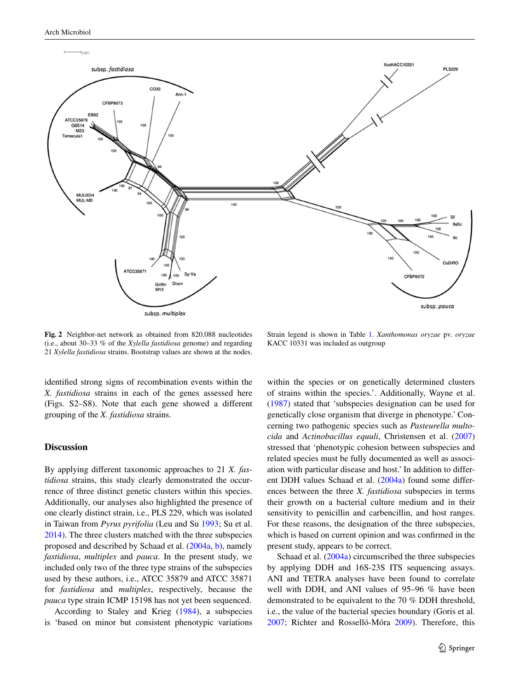

<span id="page-4-0"></span>**Fig. 2** Neighbor-net network as obtained from 820.088 nucleotides (i.e., about 30–33 % of the *Xylella fastidiosa* genome) and regarding 21 *Xylella fastidiosa* strains. Bootstrap values are shown at the nodes.

identified strong signs of recombination events within the *X. fastidiosa* strains in each of the genes assessed here (Figs. S2–S8). Note that each gene showed a different grouping of the *X. fastidiosa* strains.

## **Discussion**

By applying different taxonomic approaches to 21 *X. fastidiosa* strains, this study clearly demonstrated the occurrence of three distinct genetic clusters within this species. Additionally, our analyses also highlighted the presence of one clearly distinct strain, i.e., PLS 229, which was isolated in Taiwan from *Pyrus pyrifolia* (Leu and Su [1993;](#page-8-23) Su et al. [2014](#page-9-5)). The three clusters matched with the three subspecies proposed and described by Schaad et al. ([2004a](#page-8-2), [b](#page-9-1)), namely *fastidiosa*, *multiplex* and *pauca*. In the present study, we included only two of the three type strains of the subspecies used by these authors, i.e., ATCC 35879 and ATCC 35871 for *fastidiosa* and *multiplex*, respectively, because the *pauca* type strain ICMP 15198 has not yet been sequenced.

According to Staley and Krieg [\(1984](#page-9-6)), a subspecies is 'based on minor but consistent phenotypic variations

Strain legend is shown in Table [1](#page-2-0). *Xanthomonas oryzae* pv. *oryzae* KACC 10331 was included as outgroup

within the species or on genetically determined clusters of strains within the species.'. Additionally, Wayne et al. [\(1987](#page-9-7)) stated that 'subspecies designation can be used for genetically close organism that diverge in phenotype.' Concerning two pathogenic species such as *Pasteurella multocida* and *Actinobacillus equuli*, Christensen et al. ([2007\)](#page-7-6) stressed that 'phenotypic cohesion between subspecies and related species must be fully documented as well as association with particular disease and host.' In addition to different DDH values Schaad et al. [\(2004a\)](#page-8-2) found some differences between the three *X. fastidiosa* subspecies in terms their growth on a bacterial culture medium and in their sensitivity to penicillin and carbencillin, and host ranges. For these reasons, the designation of the three subspecies, which is based on current opinion and was confirmed in the present study, appears to be correct.

Schaad et al. [\(2004a\)](#page-8-2) circumscribed the three subspecies by applying DDH and 16S-23S ITS sequencing assays. ANI and TETRA analyses have been found to correlate well with DDH, and ANI values of 95–96 % have been demonstrated to be equivalent to the 70 % DDH threshold, i.e., the value of the bacterial species boundary (Goris et al. [2007](#page-8-16); Richter and Rosselló-Móra [2009](#page-8-20)). Therefore, this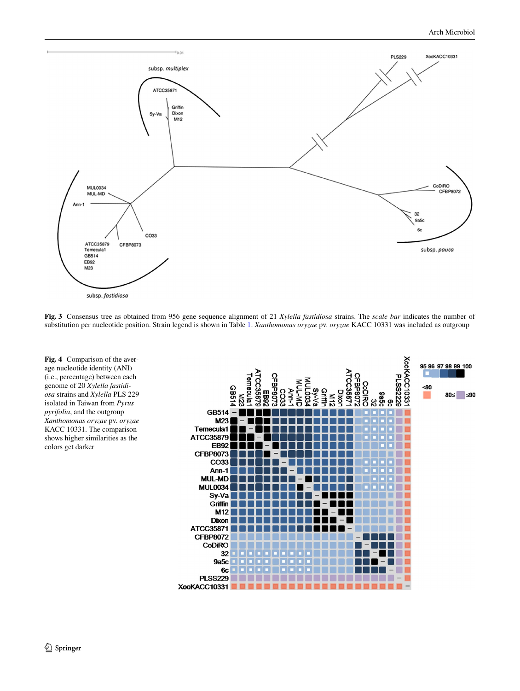

<span id="page-5-0"></span>**Fig. 3** Consensus tree as obtained from 956 gene sequence alignment of 21 *Xylella fastidiosa* strains. The *scale bar* indicates the number of substitution per nucleotide position. Strain legend is shown in Table [1.](#page-2-0) *Xanthomonas oryzae* pv. *oryzae* KACC 10331 was included as outgroup

<span id="page-5-1"></span>

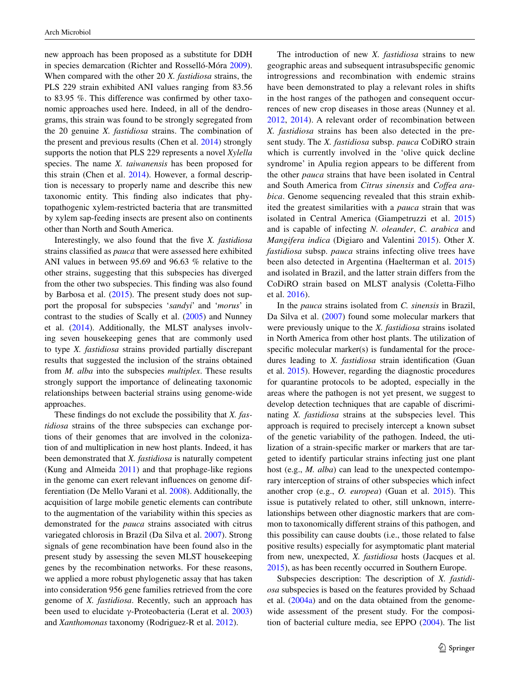new approach has been proposed as a substitute for DDH in species demarcation (Richter and Rosselló-Móra [2009](#page-8-20)). When compared with the other 20 *X. fastidiosa* strains, the PLS 229 strain exhibited ANI values ranging from 83.56 to 83.95 %. This difference was confirmed by other taxonomic approaches used here. Indeed, in all of the dendrograms, this strain was found to be strongly segregated from the 20 genuine *X. fastidiosa* strains. The combination of the present and previous results (Chen et al. [2014](#page-7-7)) strongly supports the notion that PLS 229 represents a novel *Xylella* species. The name *X. taiwanensis* has been proposed for this strain (Chen et al. [2014](#page-7-7)). However, a formal description is necessary to properly name and describe this new taxonomic entity. This finding also indicates that phytopathogenic xylem-restricted bacteria that are transmitted by xylem sap-feeding insects are present also on continents other than North and South America.

Interestingly, we also found that the five *X. fastidiosa* strains classified as *pauca* that were assessed here exhibited ANI values in between 95.69 and 96.63 % relative to the other strains, suggesting that this subspecies has diverged from the other two subspecies. This finding was also found by Barbosa et al. [\(2015](#page-7-8)). The present study does not support the proposal for subspecies '*sandyi*' and '*morus*' in contrast to the studies of Scally et al. ([2005\)](#page-8-4) and Nunney et al. [\(2014](#page-8-5)). Additionally, the MLST analyses involving seven housekeeping genes that are commonly used to type *X. fastidiosa* strains provided partially discrepant results that suggested the inclusion of the strains obtained from *M. alba* into the subspecies *multiplex*. These results strongly support the importance of delineating taxonomic relationships between bacterial strains using genome-wide approaches.

These findings do not exclude the possibility that *X. fastidiosa* strains of the three subspecies can exchange portions of their genomes that are involved in the colonization of and multiplication in new host plants. Indeed, it has been demonstrated that *X. fastidiosa* is naturally competent (Kung and Almeida [2011](#page-8-24)) and that prophage-like regions in the genome can exert relevant influences on genome differentiation (De Mello Varani et al. [2008](#page-8-25)). Additionally, the acquisition of large mobile genetic elements can contribute to the augmentation of the variability within this species as demonstrated for the *pauca* strains associated with citrus variegated chlorosis in Brazil (Da Silva et al. [2007\)](#page-8-26). Strong signals of gene recombination have been found also in the present study by assessing the seven MLST housekeeping genes by the recombination networks. For these reasons, we applied a more robust phylogenetic assay that has taken into consideration 956 gene families retrieved from the core genome of *X. fastidiosa*. Recently, such an approach has been used to elucidate γ-Proteobacteria (Lerat et al. [2003\)](#page-8-13) and *Xanthomonas* taxonomy (Rodriguez-R et al. [2012](#page-8-27)).

The introduction of new *X. fastidiosa* strains to new geographic areas and subsequent intrasubspecific genomic introgressions and recombination with endemic strains have been demonstrated to play a relevant roles in shifts in the host ranges of the pathogen and consequent occurrences of new crop diseases in those areas (Nunney et al. [2012,](#page-8-28) [2014](#page-8-5)). A relevant order of recombination between *X. fastidiosa* strains has been also detected in the present study. The *X. fastidiosa* subsp. *pauca* CoDiRO strain which is currently involved in the 'olive quick decline syndrome' in Apulia region appears to be different from the other *pauca* strains that have been isolated in Central and South America from *Citrus sinensis* and *Coffea arabica*. Genome sequencing revealed that this strain exhibited the greatest similarities with a *pauca* strain that was isolated in Central America (Giampetruzzi et al. [2015\)](#page-8-29) and is capable of infecting *N. oleander*, *C. arabica* and *Mangifera indica* (Digiaro and Valentini [2015](#page-8-30)). Other *X. fastidiosa* subsp. *pauca* strains infecting olive trees have been also detected in Argentina (Haelterman et al. [2015\)](#page-8-31) and isolated in Brazil, and the latter strain differs from the CoDiRO strain based on MLST analysis (Coletta-Filho et al. [2016](#page-8-32)).

In the *pauca* strains isolated from *C. sinensis* in Brazil, Da Silva et al. [\(2007](#page-8-26)) found some molecular markers that were previously unique to the *X. fastidiosa* strains isolated in North America from other host plants. The utilization of specific molecular marker(s) is fundamental for the procedures leading to *X. fastidiosa* strain identification (Guan et al. [2015](#page-8-33)). However, regarding the diagnostic procedures for quarantine protocols to be adopted, especially in the areas where the pathogen is not yet present, we suggest to develop detection techniques that are capable of discriminating *X. fastidiosa* strains at the subspecies level. This approach is required to precisely intercept a known subset of the genetic variability of the pathogen. Indeed, the utilization of a strain-specific marker or markers that are targeted to identify particular strains infecting just one plant host (e.g., *M. alba*) can lead to the unexpected contemporary interception of strains of other subspecies which infect another crop (e.g., *O. europea*) (Guan et al. [2015](#page-8-33)). This issue is putatively related to other, still unknown, interrelationships between other diagnostic markers that are common to taxonomically different strains of this pathogen, and this possibility can cause doubts (i.e., those related to false positive results) especially for asymptomatic plant material from new, unexpected, *X. fastidiosa* hosts (Jacques et al. [2015](#page-8-19)), as has been recently occurred in Southern Europe.

Subspecies description: The description of *X. fastidiosa* subspecies is based on the features provided by Schaad et al. ([2004a](#page-8-2)) and on the data obtained from the genomewide assessment of the present study. For the composition of bacterial culture media, see EPPO ([2004\)](#page-8-34). The list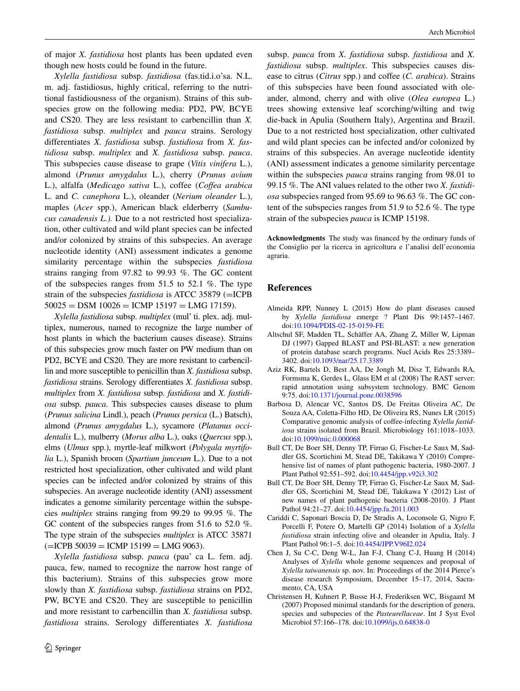of major *X. fastidiosa* host plants has been updated even though new hosts could be found in the future.

*Xylella fastidiosa* subsp. *fastidiosa* (fas.tid.i.o'sa. N.L. m. adj. fastidiosus, highly critical, referring to the nutritional fastidiousness of the organism). Strains of this subspecies grow on the following media: PD2, PW, BCYE and CS20. They are less resistant to carbencillin than *X. fastidiosa* subsp. *multiplex* and *pauca* strains. Serology differentiates *X. fastidiosa* subsp. *fastidiosa* from *X. fastidiosa* subsp. *multiplex* and *X. fastidiosa* subsp. *pauca*. This subspecies cause disease to grape (*Vitis vinifera* L.), almond (*Prunus amygdalus* L.), cherry (*Prunus avium* L.), alfalfa (*Medicago sativa* L.), coffee (*Coffea arabica* L. and *C. canephora* L.), oleander (*Nerium oleander* L.), maples (*Acer* spp.), American black elderberry (*Sambucus canadensis L.).* Due to a not restricted host specialization, other cultivated and wild plant species can be infected and/or colonized by strains of this subspecies. An average nucleotide identity (ANI) assessment indicates a genome similarity percentage within the subspecies *fastidiosa* strains ranging from 97.82 to 99.93 %. The GC content of the subspecies ranges from 51.5 to 52.1 %. The type strain of the subspecies *fastidiosa* is ATCC 35879 (=ICPB  $50025 =$  DSM  $10026 =$  ICMP  $15197 =$  LMG  $17159$ ).

*Xylella fastidiosa* subsp. *multiplex* (mul' ti. plex. adj. multiplex, numerous, named to recognize the large number of host plants in which the bacterium causes disease). Strains of this subspecies grow much faster on PW medium than on PD2, BCYE and CS20. They are more resistant to carbencillin and more susceptible to penicillin than *X. fastidiosa* subsp. *fastidiosa* strains. Serology differentiates *X. fastidiosa* subsp. *multiplex* from *X. fastidiosa* subsp. *fastidiosa* and *X. fastidiosa* subsp. *pauca*. This subspecies causes disease to plum (*Prunus salicina* Lindl.), peach (*Prunus persica* (L.) Batsch), almond (*Prunus amygdalus* L.), sycamore (*Platanus occidentalis* L.), mulberry (*Morus alba* L.), oaks (*Quercus* spp.), elms (*Ulmus* spp.), myrtle-leaf milkwort (*Polygala myrtifolia* L.), Spanish broom (*Spartium junceum* L.). Due to a not restricted host specialization, other cultivated and wild plant species can be infected and/or colonized by strains of this subspecies. An average nucleotide identity (ANI) assessment indicates a genome similarity percentage within the subspecies *multiplex* strains ranging from 99.29 to 99.95 %. The GC content of the subspecies ranges from 51.6 to 52.0 %. The type strain of the subspecies *multiplex* is ATCC 35871  $(=\text{ICPB } 50039 = \text{ICMP } 15199 = \text{LMG } 9063).$ 

*Xylella fastidiosa* subsp. *pauca* (pau' ca L. fem. adj. pauca, few, named to recognize the narrow host range of this bacterium). Strains of this subspecies grow more slowly than *X. fastidiosa* subsp. *fastidiosa* strains on PD2, PW, BCYE and CS20. They are susceptible to penicillin and more resistant to carbencillin than *X. fastidiosa* subsp. *fastidiosa* strains. Serology differentiates *X. fastidiosa* subsp. *pauca* from *X. fastidiosa* subsp. *fastidiosa* and *X. fastidiosa* subsp. *multiplex*. This subspecies causes disease to citrus (*Citrus* spp.) and coffee (*C. arabica*). Strains of this subspecies have been found associated with oleander, almond, cherry and with olive (*Olea europea* L.) trees showing extensive leaf scorching/wilting and twig die-back in Apulia (Southern Italy), Argentina and Brazil. Due to a not restricted host specialization, other cultivated and wild plant species can be infected and/or colonized by strains of this subspecies. An average nucleotide identity (ANI) assessment indicates a genome similarity percentage within the subspecies *pauca* strains ranging from 98.01 to 99.15 %. The ANI values related to the other two *X. fastidiosa* subspecies ranged from 95.69 to 96.63 %. The GC content of the subspecies ranges from 51.9 to 52.6 %. The type strain of the subspecies *pauca* is ICMP 15198.

**Acknowledgments** The study was financed by the ordinary funds of the Consiglio per la ricerca in agricoltura e l'analisi dell'economia agraria.

# **References**

- <span id="page-7-2"></span>Almeida RPP, Nunney L (2015) How do plant diseases caused by *Xylella fastidiosa* emerge ? Plant Dis 99:1457–1467. doi[:10.1094/PDIS-02-15-0159-FE](http://dx.doi.org/10.1094/PDIS-02-15-0159-FE)
- <span id="page-7-5"></span>Altschul SF, Madden TL, Schäffer AA, Zhang Z, Miller W, Lipman DJ (1997) Gapped BLAST and PSI-BLAST: a new generation of protein database search programs. Nucl Acids Res 25:3389– 3402. doi:[10.1093/nar/25.17.3389](http://dx.doi.org/10.1093/nar/25.17.3389)
- <span id="page-7-4"></span>Aziz RK, Bartels D, Best AA, De Jongh M, Disz T, Edwards RA, Formsma K, Gerdes L, Glass EM et al (2008) The RAST server: rapid annotation using subsystem technology. BMC Genom 9:75. doi:[10.1371/journal.pone.0038596](http://dx.doi.org/10.1371/journal.pone.0038596)
- <span id="page-7-8"></span>Barbosa D, Alencar VC, Santos DS, De Freitas Oliveira AC, De Souza AA, Coletta-Filho HD, De Oliveira RS, Nunes LR (2015) Comparative genomic analysis of coffee-infecting *Xylella fastidiosa* strains isolated from Brazil. Microbiology 161:1018–1033. doi[:10.1099/mic.0.000068](http://dx.doi.org/10.1099/mic.0.000068)
- <span id="page-7-0"></span>Bull CT, De Boer SH, Denny TP, Firrao G, Fischer-Le Saux M, Saddler GS, Scortichini M, Stead DE, Takikawa Y (2010) Comprehensive list of names of plant pathogenic bacteria, 1980-2007. J Plant Pathol 92:551–592. doi:[10.4454/jpp.v92i3.302](http://dx.doi.org/10.4454/jpp.v92i3.302)
- <span id="page-7-1"></span>Bull CT, De Boer SH, Denny TP, Firrao G, Fischer-Le Saux M, Saddler GS, Scortichini M, Stead DE, Takikawa Y (2012) List of new names of plant pathogenic bacteria (2008-2010). J Plant Pathol 94:21–27. doi[:10.4454/jpp.fa.2011.003](http://dx.doi.org/10.4454/jpp.fa.2011.003)
- <span id="page-7-3"></span>Cariddi C, Saponari Boscia D, De Stradis A, Loconsole G, Nigro F, Porcelli F, Potere O, Martelli GP (2014) Isolation of a *Xylella fastidiosa* strain infecting olive and oleander in Apulia, Italy. J Plant Pathol 96:1–5. doi:[10.4454/JPP.V96I2.024](http://dx.doi.org/10.4454/JPP.V96I2.024)
- <span id="page-7-7"></span>Chen J, Su C-C, Deng W-L, Jan F-J, Chang C-J, Huang H (2014) Analyses of *Xylella* whole genome sequences and proposal of *Xylella taiwanensis* sp. nov. In: Proceedings of the 2014 Pierce's disease research Symposium, December 15–17, 2014, Sacramento, CA, USA
- <span id="page-7-6"></span>Christensen H, Kuhnert P, Busse H-J, Frederiksen WC, Bisgaard M (2007) Proposed minimal standards for the description of genera, species and subspecies of the *Pasteurellaceae*. Int J Syst Evol Microbiol 57:166–178. doi[:10.1099/ijs.0.64838-0](http://dx.doi.org/10.1099/ijs.0.64838-0)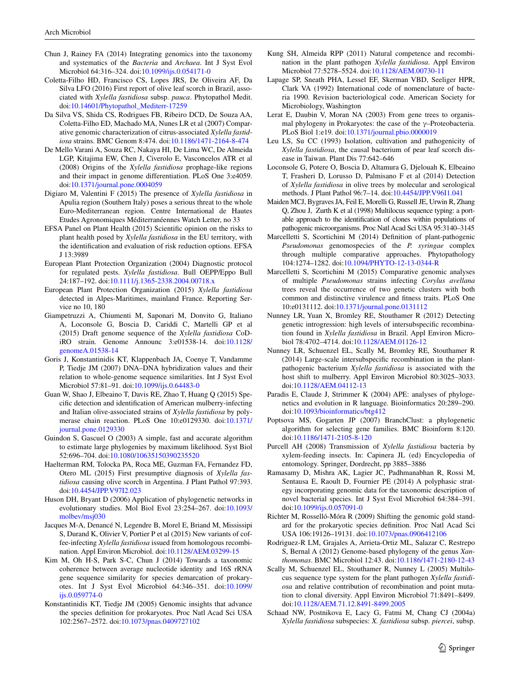- <span id="page-8-8"></span>Chun J, Rainey FA (2014) Integrating genomics into the taxonomy and systematics of the *Bacteria* and *Archaea*. Int J Syst Evol Microbiol 64:316–324. doi[:10.1099/ijs.0.054171-0](http://dx.doi.org/10.1099/ijs.0.054171-0)
- <span id="page-8-32"></span>Coletta-Filho HD, Francisco CS, Lopes JRS, De Oliveira AF, Da Silva LFO (2016) First report of olive leaf scorch in Brazil, associated with *Xylella fastidiosa* subsp. *pauca*. Phytopathol Medit. doi[:10.14601/Phytopathol\\_Mediterr-17259](http://dx.doi.org/10.14601/Phytopathol_Mediterr-17259)
- <span id="page-8-26"></span>Da Silva VS, Shida CS, Rodrigues FB, Ribeiro DCD, De Souza AA, Coletta-Filho ED, Machado MA, Nunes LR et al (2007) Comparative genomic characterization of citrus-associated *Xylella fastidiosa* strains. BMC Genom 8:474. doi:[10.1186/1471-2164-8-474](http://dx.doi.org/10.1186/1471-2164-8-474)
- <span id="page-8-25"></span>De Mello Varani A, Souza RC, Nakaya HI, De Lima WC, De Almeida LGP, Kitajima EW, Chen J, Civerolo E, Vasconcelos ATR et al (2008) Origins of the *Xylella fastidiosa* prophage-like regions and their impact in genome differentiation. PLoS One 3:e4059. doi[:10.1371/journal.pone.0004059](http://dx.doi.org/10.1371/journal.pone.0004059)
- <span id="page-8-30"></span>Digiaro M, Valentini F (2015) The presence of *Xylella fastidiosa* in Apulia region (Southern Italy) poses a serious threat to the whole Euro-Mediterranean region. Centre International de Hautes Etudes Agronomiques Méditerranéennes Watch Letter, no 33
- <span id="page-8-0"></span>EFSA Panel on Plant Health (2015) Scientific opinion on the risks to plant health posed by *Xylella fastidiosa* in the EU territory, with the identification and evaluation of risk reduction options. EFSA J 13:3989
- <span id="page-8-34"></span>European Plant Protection Organization (2004) Diagnostic protocol for regulated pests. *Xylella fastidiosa*. Bull OEPP/Eppo Bull 24:187–192. doi[:10.1111/j.1365-2338.2004.00718.x](http://dx.doi.org/10.1111/j.1365-2338.2004.00718.x)
- <span id="page-8-7"></span>European Plant Protection Organization (2015) *Xylella fastidiosa* detected in Alpes-Maritimes, mainland France. Reporting Service no 10, 180
- <span id="page-8-29"></span>Giampetruzzi A, Chiumenti M, Saponari M, Donvito G, Italiano A, Loconsole G, Boscia D, Cariddi C, Martelli GP et al (2015) Draft genome sequence of the *Xylella fastidiosa* CoDiRO strain. Genome Announc 3:e01538-14. doi[:10.1128/](http://dx.doi.org/10.1128/genomeA.01538-14) [genomeA.01538-14](http://dx.doi.org/10.1128/genomeA.01538-14)
- <span id="page-8-16"></span>Goris J, Konstantinidis KT, Klappenbach JA, Coenye T, Vandamme P, Tiedje JM (2007) DNA–DNA hybridization values and their relation to whole-genome sequence similarities. Int J Syst Evol Microbiol 57:81–91. doi:[10.1099/ijs.0.64483-0](http://dx.doi.org/10.1099/ijs.0.64483-0)
- <span id="page-8-33"></span>Guan W, Shao J, Elbeaino T, Davis RE, Zhao T, Huang Q (2015) Specific detection and identification of American mulberry-infecting and Italian olive-associated strains of *Xylella fastidiosa* by polymerase chain reaction. PLoS One 10:e0129330. doi[:10.1371/](http://dx.doi.org/10.1371/journal.pone.0129330) [journal.pone.0129330](http://dx.doi.org/10.1371/journal.pone.0129330)
- <span id="page-8-21"></span>Guindon S, Gascuel O (2003) A simple, fast and accurate algorithm to estimate large phylogenies by maximum likelihood. Syst Biol 52:696–704. doi[:10.1080/10635150390235520](http://dx.doi.org/10.1080/10635150390235520)
- <span id="page-8-31"></span>Haelterman RM, Tolocka PA, Roca ME, Guzman FA, Fernandez FD, Otero ML (2015) First presumptive diagnosis of *Xylella fastidiosa* causing olive scorch in Argentina. J Plant Pathol 97:393. doi[:10.4454/JPP.V97I2.023](http://dx.doi.org/10.4454/JPP.V97I2.023)
- <span id="page-8-14"></span>Huson DH, Bryant D (2006) Application of phylogenetic networks in evolutionary studies. Mol Biol Evol 23:254–267. doi[:10.1093/](http://dx.doi.org/10.1093/molbev/msj030) [molbev/msj030](http://dx.doi.org/10.1093/molbev/msj030)
- <span id="page-8-19"></span>Jacques M-A, Denancé N, Legendre B, Morel E, Briand M, Mississipi S, Durand K, Olivier V, Portier P et al (2015) New variants of coffee-infecting *Xylella fastidiosa* issued from homologous recombination. Appl Environ Microbiol. doi[:10.1128/AEM.03299-15](http://dx.doi.org/10.1128/AEM.03299-15)
- <span id="page-8-9"></span>Kim M, Oh H-S, Park S-C, Chun J (2014) Towards a taxonomic coherence between average nucleotide identity and 16S rRNA gene sequence similarity for species demarcation of prokaryotes. Int J Syst Evol Microbiol 64:346–351. doi[:10.1099/](http://dx.doi.org/10.1099/ijs.0.059774-0) [ijs.0.059774-0](http://dx.doi.org/10.1099/ijs.0.059774-0)
- <span id="page-8-15"></span>Konstantinidis KT, Tiedje JM (2005) Genomic insights that advance the species definition for prokaryotes. Proc Natl Acad Sci USA 102:2567–2572. doi:[10.1073/pnas.0409727102](http://dx.doi.org/10.1073/pnas.0409727102)
- <span id="page-8-24"></span>Kung SH, Almeida RPP (2011) Natural competence and recombination in the plant pathogen *Xylella fastidiosa*. Appl Environ Microbiol 77:5278–5524. doi:[10.1128/AEM.00730-11](http://dx.doi.org/10.1128/AEM.00730-11)
- <span id="page-8-3"></span>Lapage SP, Sneath PHA, Lessel EF, Skerman VBD, Seeliger HPR, Clark VA (1992) International code of nomenclature of bacteria 1990. Revision bacteriological code. American Society for Microbiology, Washington
- <span id="page-8-13"></span>Lerat E, Daubin V, Moran NA (2003) From gene trees to organismal phylogeny in Prokaryotes: the case of the  $\gamma$ –Proteobacteria. PLoS Biol 1:e19. doi[:10.1371/journal.pbio.0000019](http://dx.doi.org/10.1371/journal.pbio.0000019)
- <span id="page-8-23"></span>Leu LS, Su CC (1993) Isolation, cultivation and pathogenicity of *Xylella fastidiosa*, the causal bacterium of pear leaf scorch disease in Taiwan. Plant Dis 77:642–646
- <span id="page-8-6"></span>Loconsole G, Potere O, Boscia D, Altamura G, Djelouah K, Elbeaino T, Frasheri D, Lorusso D, Palmisano F et al (2014) Detection of *Xylella fastidiosa* in olive trees by molecular and serological methods. J Plant Pathol 96:7–14. doi[:10.4454/JPP.V96I1.041](http://dx.doi.org/10.4454/JPP.V96I1.041)
- <span id="page-8-17"></span>Maiden MCJ, Bygraves JA, Feil E, Morelli G, Russell JE, Urwin R, Zhang Q, Zhou J, Zurth K et al (1998) Multilocus sequence typing: a portable approach to the identification of clones within populations of pathogenic microorganisms. Proc Natl Acad Sci USA 95:3140–3145
- <span id="page-8-11"></span>Marcelletti S, Scortichini M (2014) Definition of plant-pathogenic *Pseudomonas* genomospecies of the *P. syringae* complex through multiple comparative approaches. Phytopathology 104:1274–1282. doi:[10.1094/PHYTO-12-13-0344-R](http://dx.doi.org/10.1094/PHYTO-12-13-0344-R)
- <span id="page-8-12"></span>Marcelletti S, Scortichini M (2015) Comparative genomic analyses of multiple *Pseudomonas* strains infecting *Corylus avellana* trees reveal the occurrence of two genetic clusters with both common and distinctive virulence and fitness traits. PLoS One 10:e0131112. doi[:10.1371/journal.pone.0131112](http://dx.doi.org/10.1371/journal.pone.0131112)
- <span id="page-8-28"></span>Nunney LR, Yuan X, Bromley RE, Stouthamer R (2012) Detecting genetic introgression: high levels of intersubspecific recombination found in *Xylella fastidiosa* in Brazil. Appl Environ Microbiol 78:4702–4714. doi[:10.1128/AEM.01126-12](http://dx.doi.org/10.1128/AEM.01126-12)
- <span id="page-8-5"></span>Nunney LR, Schuenzel EL, Scally M, Bromley RE, Stouthamer R (2014) Large-scale intersubspecific recombination in the plantpathogenic bacterium *Xylella fastidiosa* is associated with the host shift to mulberry. Appl Environ Microbiol 80:3025–3033. doi[:10.1128/AEM.04112-13](http://dx.doi.org/10.1128/AEM.04112-13)
- <span id="page-8-22"></span>Paradis E, Claude J, Strimmer K (2004) APE: analyses of phylogenetics and evolution in R language. Bioinformatics 20:289–290. doi[:10.1093/bioinformatics/btg412](http://dx.doi.org/10.1093/bioinformatics/btg412)
- <span id="page-8-18"></span>Poptsova MS, Gogarten JP (2007) BranchClust: a phylogenetic algorithm for selecting gene families. BMC Bioinform 8:120. doi[:10.1186/1471-2105-8-120](http://dx.doi.org/10.1186/1471-2105-8-120)
- <span id="page-8-1"></span>Purcell AH (2008) Transmission of *Xylella fastidiosa* bacteria by xylem-feeding insects. In: Capinera JL (ed) Encyclopedia of entomology. Springer, Dordrecht, pp 3885–3886
- <span id="page-8-10"></span>Ramasamy D, Mishra AK, Lagier JC, Padhmanabhan R, Rossi M, Sentausa E, Raoult D, Fournier PE (2014) A polyphasic strategy incorporating genomic data for the taxonomic description of novel bacterial species. Int J Syst Evol Microbiol 64:384–391. doi[:10.1099/ijs.0.057091-0](http://dx.doi.org/10.1099/ijs.0.057091-0)
- <span id="page-8-20"></span>Richter M, Rosselló-Móra R (2009) Shifting the genomic gold standard for the prokaryotic species definition. Proc Natl Acad Sci USA 106:19126–19131. doi:[10.1073/pnas.0906412106](http://dx.doi.org/10.1073/pnas.0906412106)
- <span id="page-8-27"></span>Rodriguez-R LM, Grajales A, Arrieta-Ortiz ML, Salazar C, Restrepo S, Bernal A (2012) Genome-based phylogeny of the genus *Xanthomonas*. BMC Microbiol 12:43. doi[:10.1186/1471-2180-12-43](http://dx.doi.org/10.1186/1471-2180-12-43)
- <span id="page-8-4"></span>Scally M, Schuenzel EL, Stouthamer R, Nunney L (2005) Multilocus sequence type system for the plant pathogen *Xylella fastidiosa* and relative contribution of recombination and point mutation to clonal diversity. Appl Environ Microbiol 71:8491–8499. doi[:10.1128/AEM.71.12.8491-8499.2005](http://dx.doi.org/10.1128/AEM.71.12.8491-8499.2005)
- <span id="page-8-2"></span>Schaad NW, Postnikova E, Lacy G, Fatmi M, Chang CJ (2004a) *Xylella fastidiosa* subspecies: *X. fastidiosa* subsp. *piercei*, subsp.